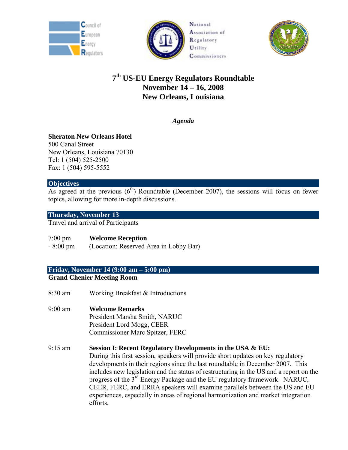





# **7th US-EU Energy Regulators Roundtable November 14 – 16, 2008 New Orleans, Louisiana**

*Agenda* 

# **Sheraton New Orleans Hotel**

500 Canal Street New Orleans, Louisiana 70130 Tel: 1 (504) 525-2500 Fax: 1 (504) 595-5552

# **Objectives**

As agreed at the previous  $(6<sup>th</sup>)$  Roundtable (December 2007), the sessions will focus on fewer topics, allowing for more in-depth discussions.

# **Thursday, November 13**

Travel and arrival of Participants

7:00 pm **Welcome Reception** 

- 8:00 pm (Location: Reserved Area in Lobby Bar)

# **Friday, November 14 (9:00 am – 5:00 pm)**

**Grand Chenier Meeting Room** 

- 8:30 am Working Breakfast & Introductions
- 9:00 am **Welcome Remarks** President Marsha Smith, NARUC President Lord Mogg, CEER Commissioner Marc Spitzer, FERC
- 9:15 am **Session I: Recent Regulatory Developments in the USA & EU:**  During this first session, speakers will provide short updates on key regulatory developments in their regions since the last roundtable in December 2007. This includes new legislation and the status of restructuring in the US and a report on the progress of the 3rd Energy Package and the EU regulatory framework. NARUC, CEER, FERC, and ERRA speakers will examine parallels between the US and EU experiences, especially in areas of regional harmonization and market integration efforts.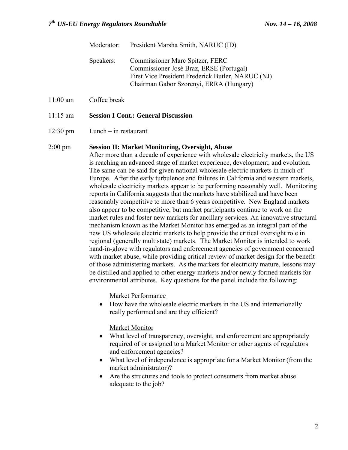|           | Moderator: President Marsha Smith, NARUC (ID)                                                                                                                              |
|-----------|----------------------------------------------------------------------------------------------------------------------------------------------------------------------------|
| Speakers: | Commissioner Marc Spitzer, FERC<br>Commissioner José Braz, ERSE (Portugal)<br>First Vice President Frederick Butler, NARUC (NJ)<br>Chairman Gabor Szorenyi, ERRA (Hungary) |

# 11:00 am Coffee break

### 11:15 am **Session I Cont.: General Discussion**

### 12:30 pm Lunch – in restaurant

### 2:00 pm **Session II: Market Monitoring, Oversight, Abuse**

After more than a decade of experience with wholesale electricity markets, the US is reaching an advanced stage of market experience, development, and evolution. The same can be said for given national wholesale electric markets in much of Europe. After the early turbulence and failures in California and western markets, wholesale electricity markets appear to be performing reasonably well. Monitoring reports in California suggests that the markets have stabilized and have been reasonably competitive to more than 6 years competitive. New England markets also appear to be competitive, but market participants continue to work on the market rules and foster new markets for ancillary services. An innovative structural mechanism known as the Market Monitor has emerged as an integral part of the new US wholesale electric markets to help provide the critical oversight role in regional (generally multistate) markets. The Market Monitor is intended to work hand-in-glove with regulators and enforcement agencies of government concerned with market abuse, while providing critical review of market design for the benefit of those administering markets. As the markets for electricity mature, lessons may be distilled and applied to other energy markets and/or newly formed markets for environmental attributes. Key questions for the panel include the following:

Market Performance

• How have the wholesale electric markets in the US and internationally really performed and are they efficient?

### Market Monitor

- What level of transparency, oversight, and enforcement are appropriately required of or assigned to a Market Monitor or other agents of regulators and enforcement agencies?
- What level of independence is appropriate for a Market Monitor (from the market administrator)?
- Are the structures and tools to protect consumers from market abuse adequate to the job?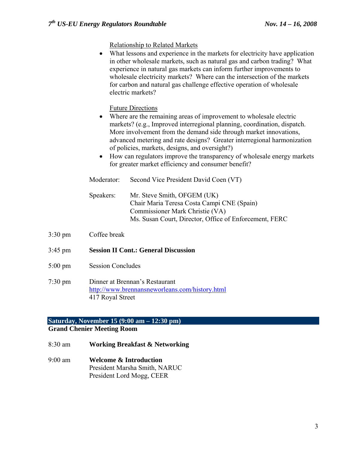Relationship to Related Markets

|                   |                                             | What lessons and experience in the markets for electricity have application<br>in other wholesale markets, such as natural gas and carbon trading? What<br>experience in natural gas markets can inform further improvements to<br>wholesale electricity markets? Where can the intersection of the markets<br>for carbon and natural gas challenge effective operation of wholesale<br>electric markets?                                                                                                      |  |
|-------------------|---------------------------------------------|----------------------------------------------------------------------------------------------------------------------------------------------------------------------------------------------------------------------------------------------------------------------------------------------------------------------------------------------------------------------------------------------------------------------------------------------------------------------------------------------------------------|--|
|                   | $\bullet$<br>$\bullet$                      | <b>Future Directions</b><br>Where are the remaining areas of improvement to wholesale electric<br>markets? (e.g., Improved interregional planning, coordination, dispatch.<br>More involvement from the demand side through market innovations,<br>advanced metering and rate designs? Greater interregional harmonization<br>of policies, markets, designs, and oversight?)<br>How can regulators improve the transparency of wholesale energy markets<br>for greater market efficiency and consumer benefit? |  |
|                   | Moderator:                                  | Second Vice President David Coen (VT)                                                                                                                                                                                                                                                                                                                                                                                                                                                                          |  |
|                   | Speakers:                                   | Mr. Steve Smith, OFGEM (UK)<br>Chair Maria Teresa Costa Campi CNE (Spain)<br>Commissioner Mark Christie (VA)<br>Ms. Susan Court, Director, Office of Enforcement, FERC                                                                                                                                                                                                                                                                                                                                         |  |
| $3:30 \text{ pm}$ | Coffee break                                |                                                                                                                                                                                                                                                                                                                                                                                                                                                                                                                |  |
| $3:45$ pm         | <b>Session II Cont.: General Discussion</b> |                                                                                                                                                                                                                                                                                                                                                                                                                                                                                                                |  |
| $5:00 \text{ pm}$ | <b>Session Concludes</b>                    |                                                                                                                                                                                                                                                                                                                                                                                                                                                                                                                |  |

7:30 pm Dinner at Brennan's Restaurant http://www.brennansneworleans.com/history.html 417 Royal Street

# **Saturday, November 15 (9:00 am – 12:30 pm)**

# **Grand Chenier Meeting Room**

- 8:30 am **Working Breakfast & Networking**
- 9:00 am **Welcome & Introduction**  President Marsha Smith, NARUC President Lord Mogg, CEER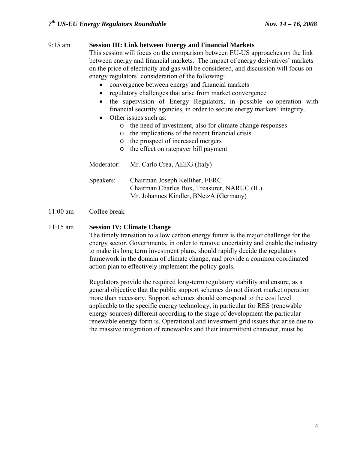# 9:15 am **Session III: Link between Energy and Financial Markets**

This session will focus on the comparison between EU-US approaches on the link between energy and financial markets.The impact of energy derivatives' markets on the price of electricity and gas will be considered, and discussion will focus on energy regulators' consideration of the following:

- convergence between energy and financial markets
- regulatory challenges that arise from market convergence
- the supervision of Energy Regulators, in possible co-operation with financial security agencies, in order to secure energy markets' integrity.
- Other issues such as:
	- o the need of investment, also for climate change responses
	- o the implications of the recent financial crisis
	- o the prospect of increased mergers
	- o the effect on ratepayer bill payment

 Moderator: Mr. Carlo Crea, AEEG (Italy) Speakers: Chairman Joseph Kelliher, FERC Chairman Charles Box, Treasurer, NARUC (IL) Mr. Johannes Kindler, BNetzA (Germany)

## 11:00 am Coffee break

### 11:15 am **Session IV: Climate Change**

The timely transition to a low carbon energy future is the major challenge for the energy sector. Governments, in order to remove uncertainty and enable the industry to make its long term investment plans, should rapidly decide the regulatory framework in the domain of climate change, and provide a common coordinated action plan to effectively implement the policy goals.

Regulators provide the required long-term regulatory stability and ensure, as a general objective that the public support schemes do not distort market operation more than necessary. Support schemes should correspond to the cost level applicable to the specific energy technology, in particular for RES (renewable energy sources) different according to the stage of development the particular renewable energy form is. Operational and investment grid issues that arise due to the massive integration of renewables and their intermittent character, must be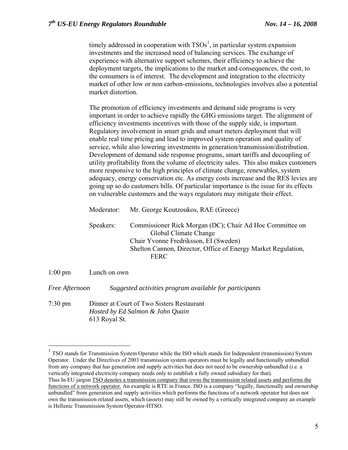timely addressed in cooperation with  $TSOs<sup>1</sup>$ , in particular system expansion investments and the increased need of balancing services. The exchange of experience with alternative support schemes, their efficiency to achieve the deployment targets, the implications to the market and consequences, the cost, to the consumers is of interest. The development and integration to the electricity market of other low or non carbon-emissions, technologies involves also a potential market distortion.

The promotion of efficiency investments and demand side programs is very important in order to achieve rapidly the GHG emissions target. The alignment of efficiency investments incentives with those of the supply side, is important. Regulatory involvement in smart grids and smart meters deployment that will enable real time pricing and lead to improved system operation and quality of service, while also lowering investments in generation/transmission/distribution. Development of demand side response programs, smart tariffs and decoupling of utility profitability from the volume of electricity sales. This also makes customers more responsive to the high principles of climate change, renewables, system adequacy, energy conservation etc. As energy costs increase and the RES levies are going up so do customers bills. Of particular importance is the issue for its effects on vulnerable customers and the ways regulators may mitigate their effect.

| Moderator: | Mr. George Koutzoukos, RAE (Greece)                                                                                                                                                                        |
|------------|------------------------------------------------------------------------------------------------------------------------------------------------------------------------------------------------------------|
| Speakers:  | Commissioner Rick Morgan (DC); Chair Ad Hoc Committee on<br>Global Climate Change<br>Chair Yvonne Fredriksson, EI (Sweden)<br>Shelton Cannon, Director, Office of Energy Market Regulation,<br><b>FERC</b> |

## 1:00 pm Lunch on own

1

*Free Afternoon Suggested activities program available for participants* 

7:30 pm Dinner at Court of Two Sisters Restaurant *Hosted by Ed Salmon & John Quain*  613 Royal St.

<sup>&</sup>lt;sup>1</sup> TSO stands for Transmission System Operator while the ISO which stands for Independent (transmission) System Operator. Under the Directives of 2003 transmission system operators must be legally and functionally unbundled from any company that has generation and supply activities but does not need to be ownership unbundled (i.e. a vertically integrated electricity company needs only to establish a fully owned subsidiary for that). Thus In EU jargon TSO denotes a transmission company that owns the transmission related assets and performs the functions of a network operator. An example is RTE in France. ISO is a company "legally, functionally and ownership unbundled" from generation and supply activities which performs the functions of a network operator but does not own the transmission related assets, which (assets) may still be owned by a vertically integrated company an example is Hellenic Transmission System Operator-HTSO.